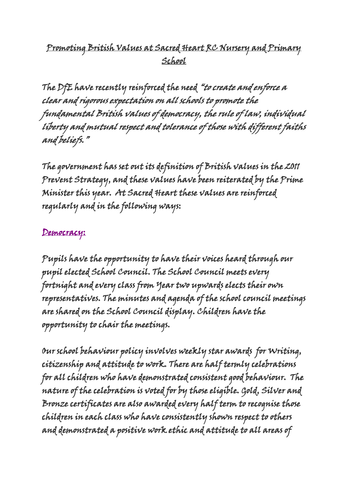### Promoting British Values at Sacred Heart RC Nursery and Primary School

The DfE have recently reinforced the need "to create and enforce a clear and rigorous expectation on all schools to promote the fundamental British values of democracy, the rule of law, individual liberty and mutual respect and tolerance of those with different faiths and beliefs."

The government has set out its definition of British values in the 2011 Prevent Strategy, and these values have been reiterated by the Prime Minister this year. At Sacred Heart these values are reinforced regularly and in the following ways:

#### Democracy:

Pupils have the opportunity to have their voices heard through our pupil elected School Council. The School Council meets every fortnight and every class from Year two upwards elects their own representatives. The minutes and agenda of the school council meetings are shared on the School Council display. Children have the opportunity to chair the meetings.

Our school behaviour policy involves weekly star awards for Writing, citizenship and attitude to work. There are half termly celebrations for all children who have demonstrated consistent good behaviour. The nature of the celebration is voted for by those eligible. Gold, Silver and Bronze certificates are also awarded every half term to recognise those children in each class who have consistently shown respect to others and demonstrated a positive work ethic and attitude to all areas of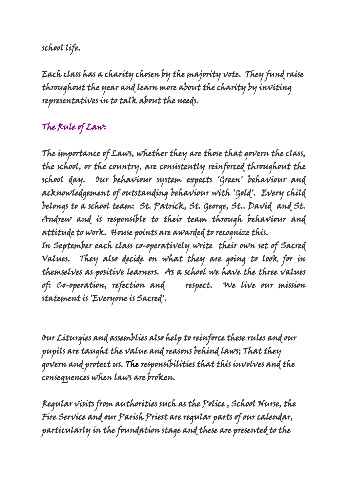#### school life.

Each class has a charity chosen by the majority vote. They fund raise throughout the year and learn more about the charity by inviting representatives in to talk about the needs.

# The Rule of Law:

The importance of Laws, whether they are those that govern the class, the school, or the country, are consistently reinforced throughout the school day. Our behaviour system expects 'Green' behaviour and acknowledgement of outstanding behaviour with 'Gold'. Every child belongs to a school team: St. Patrick, St. George, St.. David and St. Andrew and is responsible to their team through behaviour and attitude to work. House points are awarded to recognize this.

In September each class co-operatively write their own set of Sacred Values. They also decide on what they are going to look for in themselves as positive learners. As a school we have the three values of: Co-operation, refection and respect. We live our mission statement is 'Everyone is Sacred'.

Our Liturgies and assemblies also help to reinforce these rules and our pupils are taught the value and reasons behind laws; That they govern and protect us. The responsibilities that this involves and the consequences when laws are broken.

Regular visits from authorities such as the Police , School Nurse, the Fire Service and our Parish Priest are regular parts of our calendar, particularly in the foundation stage and these are presented to the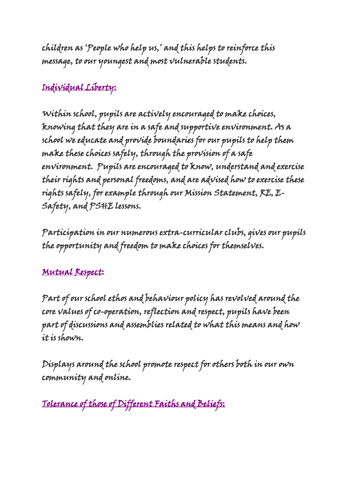children as 'People who help us,' and this helps to reinforce this message, to our youngest and most vulnerable students.

### Individual Liberty:

Within school, pupils are actively encouraged to make choices, knowing that they are in a safe and supportive environment. As a school we educate and provide boundaries for our pupils to help them make these choices safely, through the provision of a safe environment. Pupils are encouraged to know, understand and exercise their rights and personal freedoms, and are advised how to exercise these rights safely, for example through our Mission Statement, RE, E-Safety, and PSHE lessons.

Participation in our numerous extra-curricular clubs, gives our pupils the opportunity and freedom to make choices for themselves.

## Mutual Respect:

Part of our school ethos and behaviour policy has revolved around the core values of co-operation, reflection and respect, pupils have been part of discussions and assemblies related to what this means and how it is shown.

Displays around the school promote respect for others both in our own community and online.

Tolerance of those of Different Faiths and Beliefs: